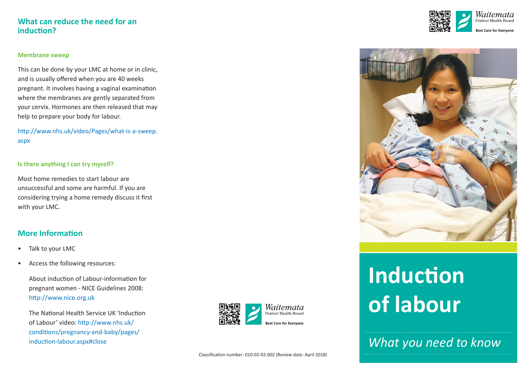## **What can reduce the need for an**  induction?

#### **Membrane sweep**

This can be done by your LMC at home or in clinic, and is usually offered when you are 40 weeks pregnant. It involves having a vaginal examinaton where the membranes are gently separated from your cervix. Hormones are then released that may help to prepare your body for labour.

htp://www.nhs.uk/video/Pages/what-is-a-sweep. aspx

#### **Is there anything I can try myself?**

Most home remedies to start labour are unsuccessful and some are harmful. If you are considering trying a home remedy discuss it frst with your LMC.

## **More Information**

- •Talk to your LMC
- •Access the following resources:

About induction of Labour-information for pregnant women - NICE Guidelines 2008: htp://www.nice.org.uk

The National Health Service UK 'Induction of Labour' video: htp://www.nhs.uk/ conditons/pregnancy-and-baby/pages/ induction-labour.aspx#close







# **Induction of labour**

*What you need to know*